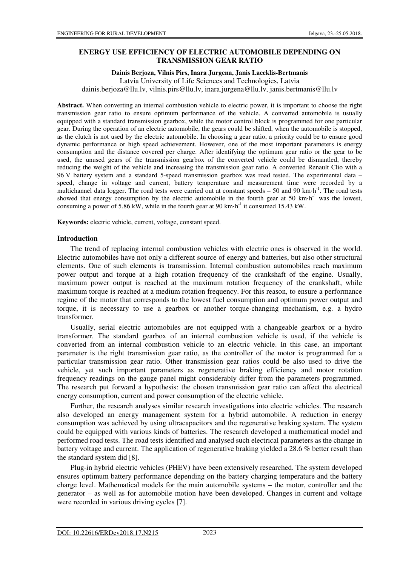## **ENERGY USE EFFICIENCY OF ELECTRIC AUTOMOBILE DEPENDING ON TRANSMISSION GEAR RATIO**

### **Dainis Berjoza, Vilnis Pirs, Inara Jurgena, Janis Laceklis-Bertmanis**

Latvia University of Life Sciences and Technologies, Latvia

dainis.berjoza@llu.lv, vilnis.pirs@llu.lv, inara.jurgena@llu.lv, janis.bertmanis@llu.lv

**Abstract.** When converting an internal combustion vehicle to electric power, it is important to choose the right transmission gear ratio to ensure optimum performance of the vehicle. A converted automobile is usually equipped with a standard transmission gearbox, while the motor control block is programmed for one particular gear. During the operation of an electric automobile, the gears could be shifted, when the automobile is stopped, as the clutch is not used by the electric automobile. In choosing a gear ratio, a priority could be to ensure good dynamic performance or high speed achievement. However, one of the most important parameters is energy consumption and the distance covered per charge. After identifying the optimum gear ratio or the gear to be used, the unused gears of the transmission gearbox of the converted vehicle could be dismantled, thereby reducing the weight of the vehicle and increasing the transmission gear ratio. A converted Renault Clio with a 96 V battery system and a standard 5-speed transmission gearbox was road tested. The experimental data – speed, change in voltage and current, battery temperature and measurement time were recorded by a multichannel data logger. The road tests were carried out at constant speeds – 50 and 90 km·h<sup>-1</sup>. The road tests showed that energy consumption by the electric automobile in the fourth gear at 50 km $h^{-1}$  was the lowest, consuming a power of 5.86 kW, while in the fourth gear at 90 km·h<sup>-1</sup> it consumed 15.43 kW.

**Keywords:** electric vehicle, current, voltage, constant speed.

### **Introduction**

The trend of replacing internal combustion vehicles with electric ones is observed in the world. Electric automobiles have not only a different source of energy and batteries, but also other structural elements. One of such elements is transmission. Internal combustion automobiles reach maximum power output and torque at a high rotation frequency of the crankshaft of the engine. Usually, maximum power output is reached at the maximum rotation frequency of the crankshaft, while maximum torque is reached at a medium rotation frequency. For this reason, to ensure a performance regime of the motor that corresponds to the lowest fuel consumption and optimum power output and torque, it is necessary to use a gearbox or another torque-changing mechanism, e.g. a hydro transformer.

Usually, serial electric automobiles are not equipped with a changeable gearbox or a hydro transformer. The standard gearbox of an internal combustion vehicle is used, if the vehicle is converted from an internal combustion vehicle to an electric vehicle. In this case, an important parameter is the right transmission gear ratio, as the controller of the motor is programmed for a particular transmission gear ratio. Other transmission gear ratios could be also used to drive the vehicle, yet such important parameters as regenerative braking efficiency and motor rotation frequency readings on the gauge panel might considerably differ from the parameters programmed. The research put forward a hypothesis: the chosen transmission gear ratio can affect the electrical energy consumption, current and power consumption of the electric vehicle.

Further, the research analyses similar research investigations into electric vehicles. The research also developed an energy management system for a hybrid automobile. A reduction in energy consumption was achieved by using ultracapacitors and the regenerative braking system. The system could be equipped with various kinds of batteries. The research developed a mathematical model and performed road tests. The road tests identified and analysed such electrical parameters as the change in battery voltage and current. The application of regenerative braking yielded a 28.6 % better result than the standard system did [8].

Plug-in hybrid electric vehicles (PHEV) have been extensively researched. The system developed ensures optimum battery performance depending on the battery charging temperature and the battery charge level. Mathematical models for the main automobile systems – the motor, controller and the generator – as well as for automobile motion have been developed. Changes in current and voltage were recorded in various driving cycles [7].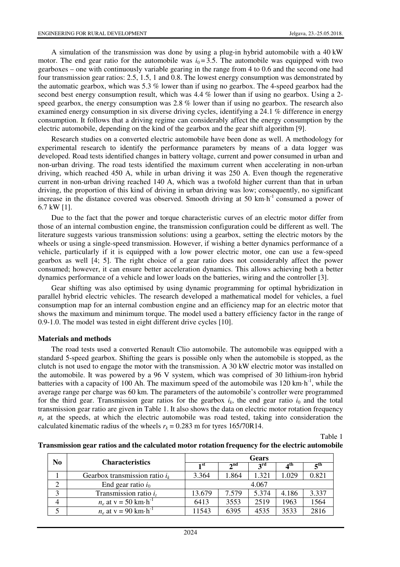A simulation of the transmission was done by using a plug-in hybrid automobile with a 40 kW motor. The end gear ratio for the automobile was  $i<sub>0</sub> = 3.5$ . The automobile was equipped with two gearboxes – one with continuously variable gearing in the range from 4 to 0.6 and the second one had four transmission gear ratios: 2.5, 1.5, 1 and 0.8. The lowest energy consumption was demonstrated by the automatic gearbox, which was 5.3 % lower than if using no gearbox. The 4-speed gearbox had the second best energy consumption result, which was 4.4 % lower than if using no gearbox. Using a 2 speed gearbox, the energy consumption was 2.8 % lower than if using no gearbox. The research also examined energy consumption in six diverse driving cycles, identifying a 24.1 % difference in energy consumption. It follows that a driving regime can considerably affect the energy consumption by the electric automobile, depending on the kind of the gearbox and the gear shift algorithm [9].

Research studies on a converted electric automobile have been done as well. A methodology for experimental research to identify the performance parameters by means of a data logger was developed. Road tests identified changes in battery voltage, current and power consumed in urban and non-urban driving. The road tests identified the maximum current when accelerating in non-urban driving, which reached 450 A, while in urban driving it was 250 A. Even though the regenerative current in non-urban driving reached 140 A, which was a twofold higher current than that in urban driving, the proportion of this kind of driving in urban driving was low; consequently, no significant increase in the distance covered was observed. Smooth driving at 50  $km \cdot h^{-1}$  consumed a power of 6.7 kW [1].

Due to the fact that the power and torque characteristic curves of an electric motor differ from those of an internal combustion engine, the transmission configuration could be different as well. The literature suggests various transmission solutions: using a gearbox, setting the electric motors by the wheels or using a single-speed transmission. However, if wishing a better dynamics performance of a vehicle, particularly if it is equipped with a low power electric motor, one can use a few-speed gearbox as well [4; 5]. The right choice of a gear ratio does not considerably affect the power consumed; however, it can ensure better acceleration dynamics. This allows achieving both a better dynamics performance of a vehicle and lower loads on the batteries, wiring and the controller [3].

Gear shifting was also optimised by using dynamic programming for optimal hybridization in parallel hybrid electric vehicles. The research developed a mathematical model for vehicles, a fuel consumption map for an internal combustion engine and an efficiency map for an electric motor that shows the maximum and minimum torque. The model used a battery efficiency factor in the range of 0.9-1.0. The model was tested in eight different drive cycles [10].

#### **Materials and methods**

The road tests used a converted Renault Clio automobile. The automobile was equipped with a standard 5-speed gearbox. Shifting the gears is possible only when the automobile is stopped, as the clutch is not used to engage the motor with the transmission. A 30 kW electric motor was installed on the automobile. It was powered by a 96 V system, which was comprised of 30 lithium-iron hybrid batteries with a capacity of 100 Ah. The maximum speed of the automobile was 120 km $\cdot$ h<sup>-1</sup>, while the average range per charge was 60 km. The parameters of the automobile's controller were programmed for the third gear. Transmission gear ratios for the gearbox  $i_k$ , the end gear ratio  $i_0$  and the total transmission gear ratio are given in Table 1. It also shows the data on electric motor rotation frequency  $n_e$  at the speeds, at which the electric automobile was road tested, taking into consideration the calculated kinematic radius of the wheels  $r_k = 0.283$  m for tyres  $165/70R14$ .

Table 1

| N <sub>0</sub> | <b>Characteristics</b>                       | <b>Gears</b>    |                 |                 |                 |                 |
|----------------|----------------------------------------------|-----------------|-----------------|-----------------|-----------------|-----------------|
|                |                                              | 1 <sup>st</sup> | 2 <sup>nd</sup> | $2^{\text{rd}}$ | 4 <sup>th</sup> | 5 <sup>th</sup> |
|                | Gearbox transmission ratio $i_k$             | 3.364           | 1.864           | 1.321           | 1.029           | 0.821           |
|                | End gear ratio $i_0$                         | 4.067           |                 |                 |                 |                 |
| 3              | Transmission ratio $i_t$                     | 13.679          | 7.579           | 5.374           | 4.186           | 3.337           |
|                | $n_e$ at $v = 50$ km $\cdot$ h <sup>-1</sup> | 6413            | 3553            | 2519            | 1963            | 1564            |
|                | $n_e$ at y = 90 km $\cdot$ h <sup>-1</sup>   | 11543           | 6395            | 4535            | 3533            | 2816            |

**Transmission gear ratios and the calculated motor rotation frequency for the electric automobile**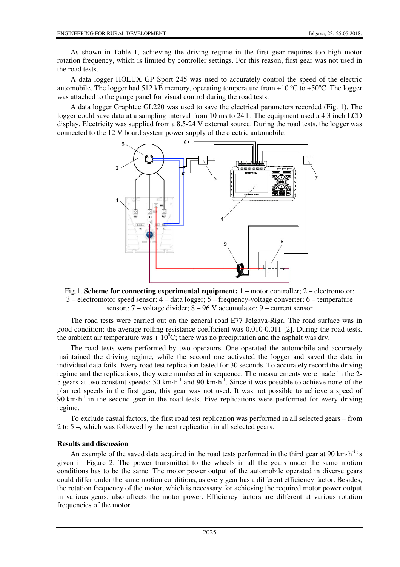As shown in Table 1, achieving the driving regime in the first gear requires too high motor rotation frequency, which is limited by controller settings. For this reason, first gear was not used in the road tests.

A data logger HOLUX GP Sport 245 was used to accurately control the speed of the electric automobile. The logger had 512 kB memory, operating temperature from  $+10^{\circ}$ C to  $+50^{\circ}$ C. The logger was attached to the gauge panel for visual control during the road tests.

A data logger Graphtec GL220 was used to save the electrical parameters recorded (Fig. 1). The logger could save data at a sampling interval from 10 ms to 24 h. The equipment used a 4.3 inch LCD display. Electricity was supplied from a 8.5-24 V external source. During the road tests, the logger was connected to the 12 V board system power supply of the electric automobile.



Fig.1. **Scheme for connecting experimental equipment:** 1 – motor controller; 2 – electromotor; 3 – electromotor speed sensor; 4 – data logger; 5 – frequency-voltage converter; 6 – temperature sensor.; 7 – voltage divider; 8 – 96 V accumulator; 9 – current sensor

The road tests were carried out on the general road E77 Jelgava-Riga. The road surface was in good condition; the average rolling resistance coefficient was 0.010-0.011 [2]. During the road tests, the ambient air temperature was +  $10^{0}$ C; there was no precipitation and the asphalt was dry.

The road tests were performed by two operators. One operated the automobile and accurately maintained the driving regime, while the second one activated the logger and saved the data in individual data fails. Every road test replication lasted for 30 seconds. To accurately record the driving regime and the replications, they were numbered in sequence. The measurements were made in the 2- 5 gears at two constant speeds:  $50 \text{ km} \cdot \text{h}^{-1}$  and  $90 \text{ km} \cdot \text{h}^{-1}$ . Since it was possible to achieve none of the planned speeds in the first gear, this gear was not used. It was not possible to achieve a speed of 90 km $\cdot$ h<sup>-1</sup> in the second gear in the road tests. Five replications were performed for every driving regime.

To exclude casual factors, the first road test replication was performed in all selected gears – from 2 to 5 –, which was followed by the next replication in all selected gears.

## **Results and discussion**

An example of the saved data acquired in the road tests performed in the third gear at 90 km $\cdot$ h<sup>-1</sup> is given in Figure 2. The power transmitted to the wheels in all the gears under the same motion conditions has to be the same. The motor power output of the automobile operated in diverse gears could differ under the same motion conditions, as every gear has a different efficiency factor. Besides, the rotation frequency of the motor, which is necessary for achieving the required motor power output in various gears, also affects the motor power. Efficiency factors are different at various rotation frequencies of the motor.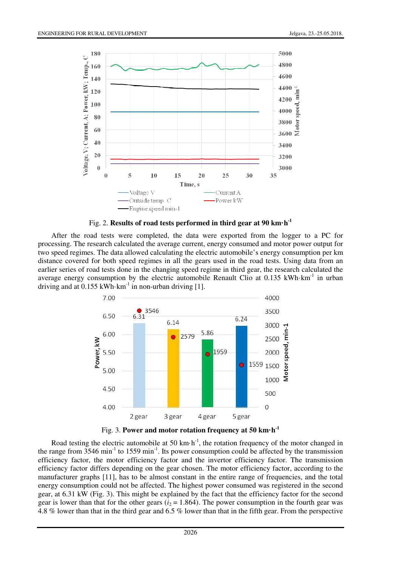

Fig. 2. **Results of road tests performed in third gear at 90 km·h-1**

After the road tests were completed, the data were exported from the logger to a PC for processing. The research calculated the average current, energy consumed and motor power output for two speed regimes. The data allowed calculating the electric automobile's energy consumption per km distance covered for both speed regimes in all the gears used in the road tests. Using data from an earlier series of road tests done in the changing speed regime in third gear, the research calculated the average energy consumption by the electric automobile Renault Clio at  $0.135$  kWh·km<sup>-1</sup> in urban driving and at  $0.155$  kWh·km<sup>-1</sup> in non-urban driving [1].



Fig. 3. **Power and motor rotation frequency at 50 km·h-1** 

Road testing the electric automobile at 50 km·h<sup>-1</sup>, the rotation frequency of the motor changed in the range from  $3546 \text{ min}^{-1}$  to  $1559 \text{ min}^{-1}$ . Its power consumption could be affected by the transmission efficiency factor, the motor efficiency factor and the invertor efficiency factor. The transmission efficiency factor differs depending on the gear chosen. The motor efficiency factor, according to the manufacturer graphs [11], has to be almost constant in the entire range of frequencies, and the total energy consumption could not be affected. The highest power consumed was registered in the second gear, at 6.31 kW (Fig. 3). This might be explained by the fact that the efficiency factor for the second gear is lower than that for the other gears  $(i_2 = 1.864)$ . The power consumption in the fourth gear was 4.8 % lower than that in the third gear and 6.5 % lower than that in the fifth gear. From the perspective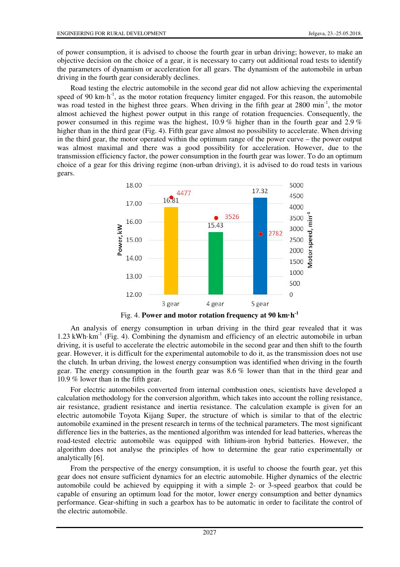of power consumption, it is advised to choose the fourth gear in urban driving; however, to make an objective decision on the choice of a gear, it is necessary to carry out additional road tests to identify the parameters of dynamism or acceleration for all gears. The dynamism of the automobile in urban driving in the fourth gear considerably declines.

Road testing the electric automobile in the second gear did not allow achieving the experimental speed of 90 km·h<sup>-1</sup>, as the motor rotation frequency limiter engaged. For this reason, the automobile was road tested in the highest three gears. When driving in the fifth gear at 2800 min<sup>-1</sup>, the motor almost achieved the highest power output in this range of rotation frequencies. Consequently, the power consumed in this regime was the highest, 10.9 % higher than in the fourth gear and 2.9 % higher than in the third gear (Fig. 4). Fifth gear gave almost no possibility to accelerate. When driving in the third gear, the motor operated within the optimum range of the power curve – the power output was almost maximal and there was a good possibility for acceleration. However, due to the transmission efficiency factor, the power consumption in the fourth gear was lower. To do an optimum choice of a gear for this driving regime (non-urban driving), it is advised to do road tests in various gears.



Fig. 4. **Power and motor rotation frequency at 90 km·h-1** 

An analysis of energy consumption in urban driving in the third gear revealed that it was 1.23 kWh·km<sup>-1</sup> (Fig. 4). Combining the dynamism and efficiency of an electric automobile in urban driving, it is useful to accelerate the electric automobile in the second gear and then shift to the fourth gear. However, it is difficult for the experimental automobile to do it, as the transmission does not use the clutch. In urban driving, the lowest energy consumption was identified when driving in the fourth gear. The energy consumption in the fourth gear was 8.6 % lower than that in the third gear and 10.9 % lower than in the fifth gear.

For electric automobiles converted from internal combustion ones, scientists have developed a calculation methodology for the conversion algorithm, which takes into account the rolling resistance, air resistance, gradient resistance and inertia resistance. The calculation example is given for an electric automobile Toyota Kijang Super, the structure of which is similar to that of the electric automobile examined in the present research in terms of the technical parameters. The most significant difference lies in the batteries, as the mentioned algorithm was intended for lead batteries, whereas the road-tested electric automobile was equipped with lithium-iron hybrid batteries. However, the algorithm does not analyse the principles of how to determine the gear ratio experimentally or analytically [6].

From the perspective of the energy consumption, it is useful to choose the fourth gear, yet this gear does not ensure sufficient dynamics for an electric automobile. Higher dynamics of the electric automobile could be achieved by equipping it with a simple 2- or 3-speed gearbox that could be capable of ensuring an optimum load for the motor, lower energy consumption and better dynamics performance. Gear-shifting in such a gearbox has to be automatic in order to facilitate the control of the electric automobile.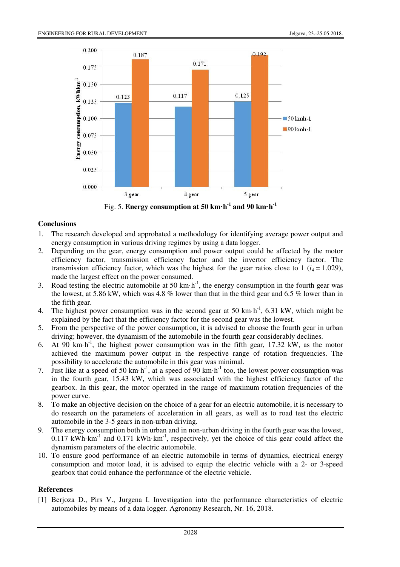

Fig. 5. **Energy consumption at 50 km·h-1 and 90 km·h-1**

# **Conclusions**

- 1. The research developed and approbated a methodology for identifying average power output and energy consumption in various driving regimes by using a data logger.
- 2. Depending on the gear, energy consumption and power output could be affected by the motor efficiency factor, transmission efficiency factor and the invertor efficiency factor. The transmission efficiency factor, which was the highest for the gear ratios close to 1 ( $i_4$  = 1.029), made the largest effect on the power consumed.
- 3. Road testing the electric automobile at 50 km·h<sup>-1</sup>, the energy consumption in the fourth gear was the lowest, at 5.86 kW, which was 4.8 % lower than that in the third gear and 6.5 % lower than in the fifth gear.
- 4. The highest power consumption was in the second gear at 50 km·h<sup>-1</sup>, 6.31 kW, which might be explained by the fact that the efficiency factor for the second gear was the lowest.
- 5. From the perspective of the power consumption, it is advised to choose the fourth gear in urban driving; however, the dynamism of the automobile in the fourth gear considerably declines.
- 6. At 90 km·h<sup>-1</sup>, the highest power consumption was in the fifth gear, 17.32 kW, as the motor achieved the maximum power output in the respective range of rotation frequencies. The possibility to accelerate the automobile in this gear was minimal.
- 7. Just like at a speed of 50 km·h<sup>-1</sup>, at a speed of 90 km·h<sup>-1</sup> too, the lowest power consumption was in the fourth gear, 15.43 kW, which was associated with the highest efficiency factor of the gearbox. In this gear, the motor operated in the range of maximum rotation frequencies of the power curve.
- 8. To make an objective decision on the choice of a gear for an electric automobile, it is necessary to do research on the parameters of acceleration in all gears, as well as to road test the electric automobile in the 3-5 gears in non-urban driving.
- 9. The energy consumption both in urban and in non-urban driving in the fourth gear was the lowest, 0.117 kWh·km<sup>-1</sup> and 0.171 kWh·km<sup>-1</sup>, respectively, yet the choice of this gear could affect the dynamism parameters of the electric automobile.
- 10. To ensure good performance of an electric automobile in terms of dynamics, electrical energy consumption and motor load, it is advised to equip the electric vehicle with a 2- or 3-speed gearbox that could enhance the performance of the electric vehicle.

## **References**

[1] Berjoza D., Pirs V., Jurgena I. Investigation into the performance characteristics of electric automobiles by means of a data logger. Agronomy Research, Nr. 16, 2018.